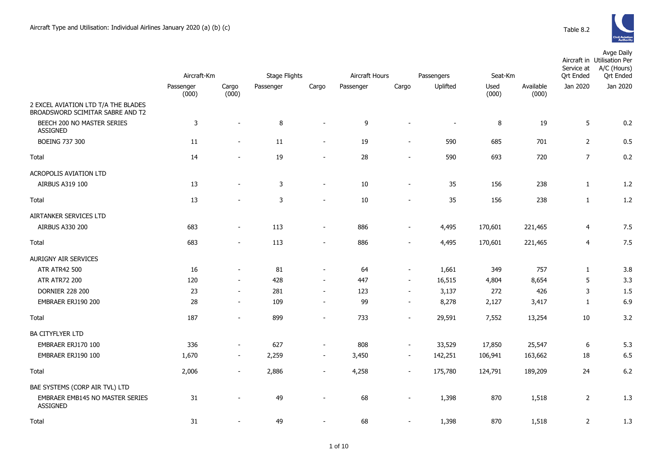|                                                                         | Aircraft-Km        |                          | Stage Flights |                          | Aircraft Hours<br>Passengers |                          |          | Seat-Km       |                    | Avge Daily<br>Aircraft in Utilisation Per<br>A/C (Hours)<br>Service at<br><b>Qrt</b> Ended<br><b>Qrt Ended</b> |          |  |
|-------------------------------------------------------------------------|--------------------|--------------------------|---------------|--------------------------|------------------------------|--------------------------|----------|---------------|--------------------|----------------------------------------------------------------------------------------------------------------|----------|--|
|                                                                         | Passenger<br>(000) | Cargo<br>(000)           | Passenger     | Cargo                    | Passenger                    | Cargo                    | Uplifted | Used<br>(000) | Available<br>(000) | Jan 2020                                                                                                       | Jan 2020 |  |
| 2 EXCEL AVIATION LTD T/A THE BLADES<br>BROADSWORD SCIMITAR SABRE AND T2 |                    |                          |               |                          |                              |                          |          |               |                    |                                                                                                                |          |  |
| BEECH 200 NO MASTER SERIES<br><b>ASSIGNED</b>                           | $\mathsf 3$        | $\overline{a}$           | 8             | $\sim$                   | 9                            | $\sim$                   | $\sim$   | 8             | 19                 | 5                                                                                                              | 0.2      |  |
| <b>BOEING 737 300</b>                                                   | $11\,$             | $\overline{\phantom{m}}$ | 11            | $\overline{\phantom{a}}$ | 19                           | $\overline{\phantom{a}}$ | 590      | 685           | 701                | $\overline{2}$                                                                                                 | 0.5      |  |
| Total                                                                   | 14                 | $\overline{a}$           | 19            | $\overline{a}$           | 28                           | $\overline{a}$           | 590      | 693           | 720                | $\overline{7}$                                                                                                 | 0.2      |  |
| ACROPOLIS AVIATION LTD                                                  |                    |                          |               |                          |                              |                          |          |               |                    |                                                                                                                |          |  |
| AIRBUS A319 100                                                         | 13                 | $\blacksquare$           | $\mathsf{3}$  | $\blacksquare$           | 10                           | $\blacksquare$           | 35       | 156           | 238                | $\mathbf{1}$                                                                                                   | 1.2      |  |
| Total                                                                   | 13                 | $\overline{\phantom{a}}$ | 3             | $\overline{\phantom{m}}$ | 10                           | $\blacksquare$           | 35       | 156           | 238                | $\mathbf{1}$                                                                                                   | 1.2      |  |
| AIRTANKER SERVICES LTD                                                  |                    |                          |               |                          |                              |                          |          |               |                    |                                                                                                                |          |  |
| AIRBUS A330 200                                                         | 683                | $\blacksquare$           | 113           | $\blacksquare$           | 886                          | $\overline{a}$           | 4,495    | 170,601       | 221,465            | $\overline{4}$                                                                                                 | 7.5      |  |
| Total                                                                   | 683                | $\overline{a}$           | 113           | $\overline{a}$           | 886                          | $\overline{a}$           | 4,495    | 170,601       | 221,465            | $\overline{4}$                                                                                                 | 7.5      |  |
| AURIGNY AIR SERVICES                                                    |                    |                          |               |                          |                              |                          |          |               |                    |                                                                                                                |          |  |
| <b>ATR ATR42 500</b>                                                    | 16                 | $\sim$                   | 81            | $\blacksquare$           | 64                           | $\blacksquare$           | 1,661    | 349           | 757                | $\mathbf{1}$                                                                                                   | 3.8      |  |
| <b>ATR ATR72 200</b>                                                    | 120                | $\overline{\phantom{a}}$ | 428           | $\overline{\phantom{a}}$ | 447                          | $\blacksquare$           | 16,515   | 4,804         | 8,654              | 5                                                                                                              | 3.3      |  |
| <b>DORNIER 228 200</b>                                                  | 23                 | $\overline{\phantom{a}}$ | 281           | $\blacksquare$           | 123                          | $\overline{\phantom{a}}$ | 3,137    | 272           | 426                | 3                                                                                                              | 1.5      |  |
| EMBRAER ERJ190 200                                                      | 28                 | $\overline{\phantom{a}}$ | 109           | $\blacksquare$           | 99                           | $\overline{\phantom{a}}$ | 8,278    | 2,127         | 3,417              | $\mathbf{1}$                                                                                                   | 6.9      |  |
| Total                                                                   | 187                | $\overline{a}$           | 899           | $\overline{a}$           | 733                          | $\overline{a}$           | 29,591   | 7,552         | 13,254             | 10                                                                                                             | 3.2      |  |
| <b>BA CITYFLYER LTD</b>                                                 |                    |                          |               |                          |                              |                          |          |               |                    |                                                                                                                |          |  |
| EMBRAER ERJ170 100                                                      | 336                | $\blacksquare$           | 627           | $\overline{\phantom{a}}$ | 808                          | $\blacksquare$           | 33,529   | 17,850        | 25,547             | 6                                                                                                              | 5.3      |  |
| EMBRAER ERJ190 100                                                      | 1,670              | $\sim$                   | 2,259         | $\blacksquare$           | 3,450                        | $\overline{\phantom{a}}$ | 142,251  | 106,941       | 163,662            | 18                                                                                                             | 6.5      |  |
| Total                                                                   | 2,006              | $\overline{\phantom{a}}$ | 2,886         | $\overline{\phantom{a}}$ | 4,258                        | $\overline{\phantom{a}}$ | 175,780  | 124,791       | 189,209            | 24                                                                                                             | 6.2      |  |
| BAE SYSTEMS (CORP AIR TVL) LTD                                          |                    |                          |               |                          |                              |                          |          |               |                    |                                                                                                                |          |  |
| EMBRAER EMB145 NO MASTER SERIES<br><b>ASSIGNED</b>                      | 31                 | $\overline{\phantom{m}}$ | 49            | $\overline{\phantom{m}}$ | 68                           | $\overline{\phantom{m}}$ | 1,398    | 870           | 1,518              | $\overline{2}$                                                                                                 | 1.3      |  |
| Total                                                                   | 31                 | $\overline{\phantom{a}}$ | 49            | $\overline{a}$           | 68                           | $\blacksquare$           | 1,398    | 870           | 1,518              | $\overline{2}$                                                                                                 | 1.3      |  |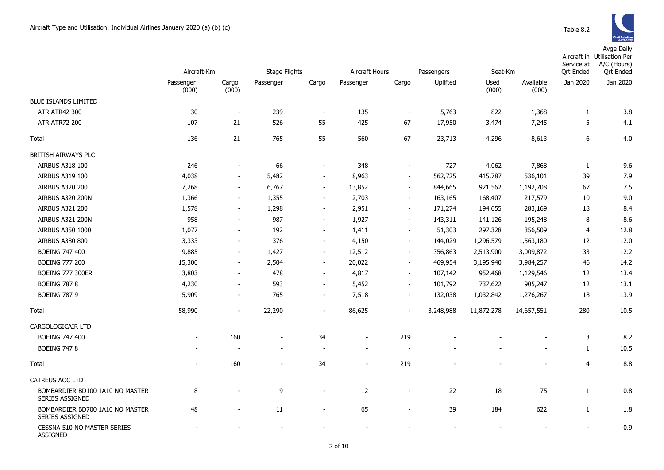|                                                           | Aircraft-Km        |                          | <b>Stage Flights</b> |                          | Aircraft Hours           |                          | Passengers | Seat-Km       |                    | Service at<br><b>Qrt Ended</b> | Aircraft in Utilisation Per<br>A/C (Hours)<br><b>Qrt Ended</b> |
|-----------------------------------------------------------|--------------------|--------------------------|----------------------|--------------------------|--------------------------|--------------------------|------------|---------------|--------------------|--------------------------------|----------------------------------------------------------------|
|                                                           | Passenger<br>(000) | Cargo<br>(000)           | Passenger            | Cargo                    | Passenger                | Cargo                    | Uplifted   | Used<br>(000) | Available<br>(000) | Jan 2020                       | Jan 2020                                                       |
| BLUE ISLANDS LIMITED                                      |                    |                          |                      |                          |                          |                          |            |               |                    |                                |                                                                |
| ATR ATR42 300                                             | 30                 |                          | 239                  | $\overline{\phantom{a}}$ | 135                      | $\overline{\phantom{a}}$ | 5,763      | 822           | 1,368              | 1                              | 3.8                                                            |
| <b>ATR ATR72 200</b>                                      | 107                | 21                       | 526                  | 55                       | 425                      | 67                       | 17,950     | 3,474         | 7,245              | 5                              | 4.1                                                            |
| Total                                                     | 136                | 21                       | 765                  | 55                       | 560                      | 67                       | 23,713     | 4,296         | 8,613              | 6                              | 4.0                                                            |
| BRITISH AIRWAYS PLC                                       |                    |                          |                      |                          |                          |                          |            |               |                    |                                |                                                                |
| AIRBUS A318 100                                           | 246                | $\blacksquare$           | 66                   | $\blacksquare$           | 348                      | $\overline{\phantom{m}}$ | 727        | 4,062         | 7,868              | $\mathbf{1}$                   | 9.6                                                            |
| AIRBUS A319 100                                           | 4,038              | $\blacksquare$           | 5,482                | $\blacksquare$           | 8,963                    | $\overline{\phantom{a}}$ | 562,725    | 415,787       | 536,101            | 39                             | 7.9                                                            |
| <b>AIRBUS A320 200</b>                                    | 7,268              | $\overline{\phantom{a}}$ | 6,767                | $\sim$                   | 13,852                   | $\overline{\phantom{a}}$ | 844,665    | 921,562       | 1,192,708          | 67                             | 7.5                                                            |
| AIRBUS A320 200N                                          | 1,366              | $\blacksquare$           | 1,355                | $\overline{\phantom{a}}$ | 2,703                    | $\blacksquare$           | 163,165    | 168,407       | 217,579            | 10                             | 9.0                                                            |
| <b>AIRBUS A321 200</b>                                    | 1,578              | $\sim$                   | 1,298                | $\overline{\phantom{a}}$ | 2,951                    | $\blacksquare$           | 171,274    | 194,655       | 283,169            | 18                             | 8.4                                                            |
| AIRBUS A321 200N                                          | 958                | $\overline{\phantom{a}}$ | 987                  | $\blacksquare$           | 1,927                    | $\overline{\phantom{a}}$ | 143,311    | 141,126       | 195,248            | 8                              | 8.6                                                            |
| AIRBUS A350 1000                                          | 1,077              |                          | 192                  | $\overline{\phantom{a}}$ | 1,411                    | $\overline{\phantom{a}}$ | 51,303     | 297,328       | 356,509            | $\overline{4}$                 | 12.8                                                           |
| <b>AIRBUS A380 800</b>                                    | 3,333              | $\overline{\phantom{a}}$ | 376                  | $\overline{\phantom{a}}$ | 4,150                    | $\overline{\phantom{a}}$ | 144,029    | 1,296,579     | 1,563,180          | 12                             | 12.0                                                           |
| <b>BOEING 747 400</b>                                     | 9,885              | $\blacksquare$           | 1,427                | $\blacksquare$           | 12,512                   | $\overline{\phantom{a}}$ | 356,863    | 2,513,900     | 3,009,872          | 33                             | 12.2                                                           |
| <b>BOEING 777 200</b>                                     | 15,300             | $\blacksquare$           | 2,504                | $\blacksquare$           | 20,022                   | $\overline{\phantom{a}}$ | 469,954    | 3,195,940     | 3,984,257          | 46                             | 14.2                                                           |
| <b>BOEING 777 300ER</b>                                   | 3,803              | $\overline{\phantom{a}}$ | 478                  | $\blacksquare$           | 4,817                    | $\overline{\phantom{a}}$ | 107,142    | 952,468       | 1,129,546          | 12                             | 13.4                                                           |
| <b>BOEING 787 8</b>                                       | 4,230              | $\overline{\phantom{a}}$ | 593                  | $\blacksquare$           | 5,452                    | $\sim$                   | 101,792    | 737,622       | 905,247            | $12\,$                         | 13.1                                                           |
| <b>BOEING 787 9</b>                                       | 5,909              | $\sim$                   | 765                  | $\blacksquare$           | 7,518                    | $\sim$                   | 132,038    | 1,032,842     | 1,276,267          | 18                             | 13.9                                                           |
| Total                                                     | 58,990             | $\sim$                   | 22,290               | $\blacksquare$           | 86,625                   | $\overline{\phantom{a}}$ | 3,248,988  | 11,872,278    | 14,657,551         | 280                            | 10.5                                                           |
| CARGOLOGICAIR LTD                                         |                    |                          |                      |                          |                          |                          |            |               |                    |                                |                                                                |
| <b>BOEING 747 400</b>                                     |                    | 160                      | $\blacksquare$       | 34                       | $\overline{\phantom{a}}$ | 219                      |            |               |                    | 3                              | 8.2                                                            |
| <b>BOEING 747 8</b>                                       |                    |                          |                      |                          | $\overline{\phantom{a}}$ |                          |            |               |                    | $\mathbf{1}$                   | 10.5                                                           |
| Total                                                     |                    | 160                      | $\blacksquare$       | 34                       | $\overline{\phantom{a}}$ | 219                      |            |               |                    | $\overline{4}$                 | 8.8                                                            |
| <b>CATREUS AOC LTD</b>                                    |                    |                          |                      |                          |                          |                          |            |               |                    |                                |                                                                |
| BOMBARDIER BD100 1A10 NO MASTER<br><b>SERIES ASSIGNED</b> | 8                  |                          | 9                    | $\overline{a}$           | 12                       | $\overline{\phantom{a}}$ | 22         | 18            | 75                 | $\mathbf{1}$                   | 0.8                                                            |
| BOMBARDIER BD700 1A10 NO MASTER<br>SERIES ASSIGNED        | 48                 |                          | 11                   | $\overline{a}$           | 65                       |                          | 39         | 184           | 622                | $\mathbf{1}$                   | 1.8                                                            |
| CESSNA 510 NO MASTER SERIES<br><b>ASSIGNED</b>            |                    |                          |                      |                          |                          |                          |            |               |                    |                                | 0.9                                                            |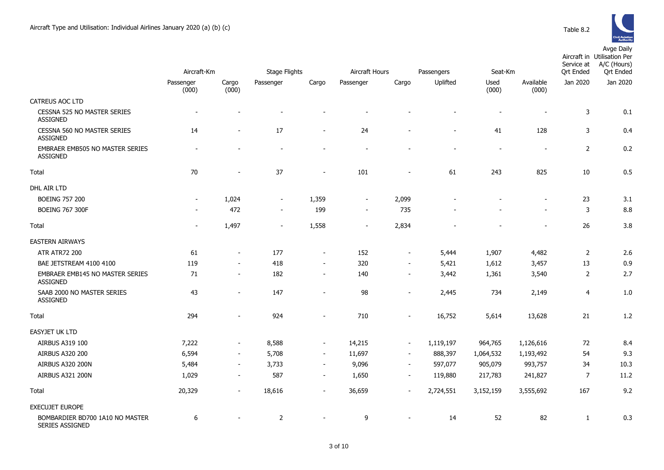|                                                       | Aircraft-Km              |                | <b>Stage Flights</b>     |                          | Aircraft Hours           |                          | Passengers               | Seat-Km                  |                          | Service at<br><b>Ort Ended</b> | Aircraft in Utilisation Per<br>A/C (Hours)<br><b>Qrt Ended</b> |
|-------------------------------------------------------|--------------------------|----------------|--------------------------|--------------------------|--------------------------|--------------------------|--------------------------|--------------------------|--------------------------|--------------------------------|----------------------------------------------------------------|
|                                                       | Passenger<br>(000)       | Cargo<br>(000) | Passenger                | Cargo                    | Passenger                | Cargo                    | Uplifted                 | Used<br>(000)            | Available<br>(000)       | Jan 2020                       | Jan 2020                                                       |
| <b>CATREUS AOC LTD</b>                                |                          |                |                          |                          |                          |                          |                          |                          |                          |                                |                                                                |
| CESSNA 525 NO MASTER SERIES<br><b>ASSIGNED</b>        | $\overline{\phantom{a}}$ |                |                          |                          |                          |                          |                          |                          |                          | 3                              | 0.1                                                            |
| <b>CESSNA 560 NO MASTER SERIES</b><br><b>ASSIGNED</b> | 14                       |                | 17                       |                          | 24                       |                          |                          | 41                       | 128                      | 3                              | 0.4                                                            |
| EMBRAER EMB505 NO MASTER SERIES<br><b>ASSIGNED</b>    | $\overline{\phantom{a}}$ |                | $\overline{\phantom{a}}$ | $\blacksquare$           | $\overline{\phantom{a}}$ | $\blacksquare$           | $\overline{\phantom{a}}$ | $\overline{\phantom{a}}$ | $\overline{\phantom{a}}$ | $\overline{2}$                 | 0.2                                                            |
| Total                                                 | 70                       |                | 37                       | ÷,                       | 101                      | $\blacksquare$           | 61                       | 243                      | 825                      | 10                             | 0.5                                                            |
| DHL AIR LTD                                           |                          |                |                          |                          |                          |                          |                          |                          |                          |                                |                                                                |
| <b>BOEING 757 200</b>                                 | $\overline{\phantom{a}}$ | 1,024          | $\overline{\phantom{a}}$ | 1,359                    | $\blacksquare$           | 2,099                    |                          |                          | $\overline{a}$           | 23                             | 3.1                                                            |
| <b>BOEING 767 300F</b>                                |                          | 472            | $\sim$                   | 199                      | $\overline{\phantom{a}}$ | 735                      |                          |                          |                          | 3                              | 8.8                                                            |
| Total                                                 |                          | 1,497          |                          | 1,558                    | $\overline{\phantom{a}}$ | 2,834                    |                          |                          |                          | 26                             | 3.8                                                            |
| <b>EASTERN AIRWAYS</b>                                |                          |                |                          |                          |                          |                          |                          |                          |                          |                                |                                                                |
| <b>ATR ATR72 200</b>                                  | 61                       | $\sim$         | 177                      | $\overline{\phantom{a}}$ | 152                      | $\sim$                   | 5,444                    | 1,907                    | 4,482                    | $\overline{2}$                 | 2.6                                                            |
| BAE JETSTREAM 4100 4100                               | 119                      | $\sim$         | 418                      | $\sim$                   | 320                      | $\blacksquare$           | 5,421                    | 1,612                    | 3,457                    | 13                             | 0.9                                                            |
| EMBRAER EMB145 NO MASTER SERIES<br><b>ASSIGNED</b>    | 71                       | $\blacksquare$ | 182                      | $\overline{\phantom{a}}$ | 140                      | $\overline{\phantom{a}}$ | 3,442                    | 1,361                    | 3,540                    | $\overline{2}$                 | 2.7                                                            |
| SAAB 2000 NO MASTER SERIES<br><b>ASSIGNED</b>         | 43                       | $\sim$         | 147                      | $\sim$                   | 98                       | $\sim$                   | 2,445                    | 734                      | 2,149                    | $\overline{4}$                 | 1.0                                                            |
| Total                                                 | 294                      |                | 924                      |                          | 710                      |                          | 16,752                   | 5,614                    | 13,628                   | 21                             | 1.2                                                            |
| <b>EASYJET UK LTD</b>                                 |                          |                |                          |                          |                          |                          |                          |                          |                          |                                |                                                                |
| AIRBUS A319 100                                       | 7,222                    | $\sim$         | 8,588                    | $\overline{\phantom{a}}$ | 14,215                   | $\sim$                   | 1,119,197                | 964,765                  | 1,126,616                | 72                             | 8.4                                                            |
| AIRBUS A320 200                                       | 6,594                    | $\sim$         | 5,708                    | $\sim$                   | 11,697                   | $\overline{\phantom{a}}$ | 888,397                  | 1,064,532                | 1,193,492                | 54                             | 9.3                                                            |
| <b>AIRBUS A320 200N</b>                               | 5,484                    | $\sim$         | 3,733                    | $\sim$                   | 9,096                    | $\overline{\phantom{a}}$ | 597,077                  | 905,079                  | 993,757                  | 34                             | 10.3                                                           |
| AIRBUS A321 200N                                      | 1,029                    |                | 587                      | $\blacksquare$           | 1,650                    | $\overline{\phantom{a}}$ | 119,880                  | 217,783                  | 241,827                  | $\overline{7}$                 | 11.2                                                           |
| Total                                                 | 20,329                   | $\sim$         | 18,616                   | $\sim$                   | 36,659                   | $\sim$                   | 2,724,551                | 3,152,159                | 3,555,692                | 167                            | 9.2                                                            |
| <b>EXECUJET EUROPE</b>                                |                          |                |                          |                          |                          |                          |                          |                          |                          |                                |                                                                |
| BOMBARDIER BD700 1A10 NO MASTER<br>SERIES ASSIGNED    | 6                        |                | $\overline{2}$           |                          | 9                        |                          | 14                       | 52                       | 82                       | $\mathbf{1}$                   | 0.3                                                            |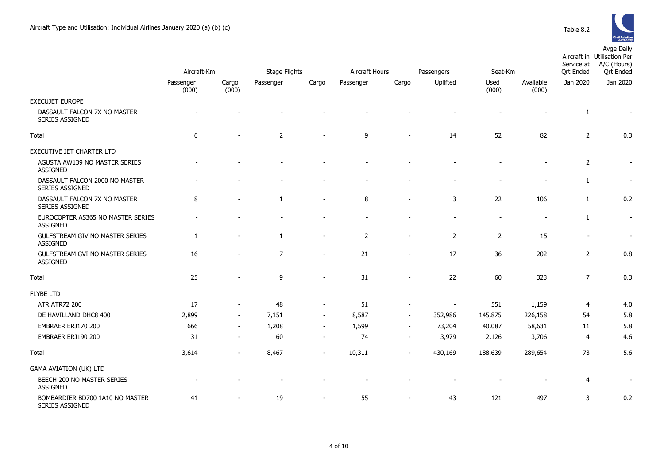

|                                                      | Aircraft-Km |                          | Stage Flights  |                          | Aircraft Hours |                | Passengers<br>Seat-Km    |                |                          | Service at<br><b>Qrt Ended</b> | Aircraft in Utilisation Per<br>A/C (Hours)<br><b>Qrt Ended</b> |
|------------------------------------------------------|-------------|--------------------------|----------------|--------------------------|----------------|----------------|--------------------------|----------------|--------------------------|--------------------------------|----------------------------------------------------------------|
|                                                      | Passenger   | Cargo                    | Passenger      | Cargo                    | Passenger      | Cargo          | Uplifted                 | Used           | Available                | Jan 2020                       | Jan 2020                                                       |
|                                                      | (000)       | (000)                    |                |                          |                |                |                          | (000)          | (000)                    |                                |                                                                |
| <b>EXECUJET EUROPE</b>                               |             |                          |                |                          |                |                |                          |                |                          |                                |                                                                |
| DASSAULT FALCON 7X NO MASTER<br>SERIES ASSIGNED      |             |                          |                |                          |                |                |                          |                |                          | $\mathbf{1}$                   |                                                                |
| Total                                                | 6           |                          | $\overline{2}$ |                          | 9              |                | 14                       | 52             | 82                       | $\overline{2}$                 | 0.3                                                            |
| EXECUTIVE JET CHARTER LTD                            |             |                          |                |                          |                |                |                          |                |                          |                                |                                                                |
| AGUSTA AW139 NO MASTER SERIES<br><b>ASSIGNED</b>     |             |                          |                |                          |                |                |                          |                |                          | $\overline{2}$                 | $\overline{\phantom{a}}$                                       |
| DASSAULT FALCON 2000 NO MASTER<br>SERIES ASSIGNED    |             |                          |                |                          |                |                |                          |                |                          | $\mathbf{1}$                   |                                                                |
| DASSAULT FALCON 7X NO MASTER<br>SERIES ASSIGNED      | 8           |                          | 1              | $\overline{\phantom{a}}$ | 8              |                | 3                        | 22             | 106                      | $\mathbf{1}$                   | 0.2                                                            |
| EUROCOPTER AS365 NO MASTER SERIES<br><b>ASSIGNED</b> |             |                          |                |                          |                |                |                          | $\sim$         | $\overline{\phantom{0}}$ | $\mathbf{1}$                   | $\sim$                                                         |
| GULFSTREAM GIV NO MASTER SERIES<br><b>ASSIGNED</b>   | 1           |                          | $\mathbf{1}$   | $\blacksquare$           | 2              | $\blacksquare$ | $\overline{2}$           | $\overline{2}$ | 15                       |                                | $\overline{\phantom{a}}$                                       |
| GULFSTREAM GVI NO MASTER SERIES<br>ASSIGNED          | 16          |                          | $\overline{7}$ | $\overline{\phantom{m}}$ | 21             | $\blacksquare$ | 17                       | 36             | 202                      | $\overline{2}$                 | 0.8                                                            |
| Total                                                | 25          |                          | 9              |                          | 31             |                | 22                       | 60             | 323                      | $\overline{7}$                 | 0.3                                                            |
| <b>FLYBE LTD</b>                                     |             |                          |                |                          |                |                |                          |                |                          |                                |                                                                |
| <b>ATR ATR72 200</b>                                 | 17          |                          | 48             | $\overline{\phantom{a}}$ | 51             |                | $\overline{\phantom{a}}$ | 551            | 1,159                    | $\overline{4}$                 | 4.0                                                            |
| DE HAVILLAND DHC8 400                                | 2,899       |                          | 7,151          | $\overline{\phantom{a}}$ | 8,587          |                | 352,986                  | 145,875        | 226,158                  | 54                             | 5.8                                                            |
| EMBRAER ERJ170 200                                   | 666         | $\blacksquare$           | 1,208          | $\overline{\phantom{a}}$ | 1,599          | $\blacksquare$ | 73,204                   | 40,087         | 58,631                   | 11                             | 5.8                                                            |
| EMBRAER ERJ190 200                                   | 31          | $\sim$                   | 60             | $\blacksquare$           | 74             | $\blacksquare$ | 3,979                    | 2,126          | 3,706                    | $\overline{4}$                 | 4.6                                                            |
| Total                                                | 3,614       | $\overline{\phantom{a}}$ | 8,467          | $\blacksquare$           | 10,311         |                | 430,169                  | 188,639        | 289,654                  | 73                             | 5.6                                                            |
| <b>GAMA AVIATION (UK) LTD</b>                        |             |                          |                |                          |                |                |                          |                |                          |                                |                                                                |
| BEECH 200 NO MASTER SERIES<br><b>ASSIGNED</b>        |             |                          |                |                          |                |                |                          |                |                          | $\overline{4}$                 |                                                                |
| BOMBARDIER BD700 1A10 NO MASTER<br>SERIES ASSIGNED   | 41          |                          | 19             | ÷                        | 55             |                | 43                       | 121            | 497                      | $\overline{3}$                 | 0.2                                                            |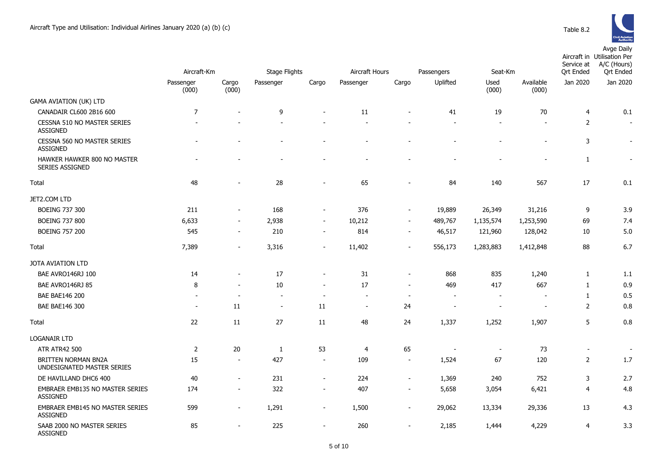|                                                           | Aircraft-Km        |                          | <b>Stage Flights</b><br>Aircraft Hours |                          |                          |                          | Passengers               | Seat-Km                  |                    | Service at<br><b>Qrt Ended</b> | Aircraft in Utilisation Per<br>A/C (Hours)<br><b>Qrt Ended</b> |
|-----------------------------------------------------------|--------------------|--------------------------|----------------------------------------|--------------------------|--------------------------|--------------------------|--------------------------|--------------------------|--------------------|--------------------------------|----------------------------------------------------------------|
|                                                           | Passenger<br>(000) | Cargo<br>(000)           | Passenger                              | Cargo                    | Passenger                | Cargo                    | Uplifted                 | Used<br>(000)            | Available<br>(000) | Jan 2020                       | Jan 2020                                                       |
| <b>GAMA AVIATION (UK) LTD</b>                             |                    |                          |                                        |                          |                          |                          |                          |                          |                    |                                |                                                                |
| CANADAIR CL600 2B16 600                                   | $\overline{7}$     |                          | 9                                      | ÷,                       | 11                       |                          | 41                       | 19                       | 70                 | 4                              | 0.1                                                            |
| <b>CESSNA 510 NO MASTER SERIES</b><br><b>ASSIGNED</b>     |                    |                          |                                        |                          |                          |                          | $\overline{\phantom{a}}$ |                          |                    | 2                              | $\overline{\phantom{a}}$                                       |
| CESSNA 560 NO MASTER SERIES<br>ASSIGNED                   |                    |                          |                                        |                          |                          |                          |                          |                          |                    | 3                              | $\overline{\phantom{a}}$                                       |
| HAWKER HAWKER 800 NO MASTER<br><b>SERIES ASSIGNED</b>     |                    |                          |                                        |                          |                          |                          |                          |                          |                    | $\mathbf{1}$                   | $\overline{\phantom{a}}$                                       |
| Total                                                     | 48                 |                          | 28                                     |                          | 65                       |                          | 84                       | 140                      | 567                | 17                             | 0.1                                                            |
| JET2.COM LTD                                              |                    |                          |                                        |                          |                          |                          |                          |                          |                    |                                |                                                                |
| <b>BOEING 737 300</b>                                     | 211                | $\blacksquare$           | 168                                    | $\blacksquare$           | 376                      | $\blacksquare$           | 19,889                   | 26,349                   | 31,216             | 9                              | 3.9                                                            |
| <b>BOEING 737 800</b>                                     | 6,633              | $\sim$                   | 2,938                                  | $\blacksquare$           | 10,212                   | $\overline{\phantom{a}}$ | 489,767                  | 1,135,574                | 1,253,590          | 69                             | 7.4                                                            |
| <b>BOEING 757 200</b>                                     | 545                | $\overline{\phantom{a}}$ | 210                                    | $\overline{\phantom{a}}$ | 814                      | $\overline{\phantom{a}}$ | 46,517                   | 121,960                  | 128,042            | 10                             | 5.0                                                            |
| Total                                                     | 7,389              | $\blacksquare$           | 3,316                                  | $\overline{\phantom{a}}$ | 11,402                   | $\overline{\phantom{a}}$ | 556,173                  | 1,283,883                | 1,412,848          | 88                             | 6.7                                                            |
| JOTA AVIATION LTD                                         |                    |                          |                                        |                          |                          |                          |                          |                          |                    |                                |                                                                |
| BAE AVRO146RJ 100                                         | 14                 | $\overline{\phantom{a}}$ | 17                                     | $\blacksquare$           | 31                       | $\blacksquare$           | 868                      | 835                      | 1,240              | 1                              | 1.1                                                            |
| BAE AVRO146RJ 85                                          | 8                  | ÷                        | 10                                     | $\sim$                   | 17                       | $\sim$                   | 469                      | 417                      | 667                | 1                              | 0.9                                                            |
| <b>BAE BAE146 200</b>                                     |                    |                          |                                        |                          |                          | $\blacksquare$           | $\overline{\phantom{a}}$ |                          |                    | $\mathbf{1}$                   | 0.5                                                            |
| <b>BAE BAE146 300</b>                                     | $\blacksquare$     | 11                       | $\blacksquare$                         | 11                       | $\overline{\phantom{a}}$ | 24                       | $\overline{\phantom{a}}$ | $\overline{\phantom{0}}$ |                    | 2                              | 0.8                                                            |
| Total                                                     | 22                 | 11                       | 27                                     | 11                       | 48                       | 24                       | 1,337                    | 1,252                    | 1,907              | 5                              | 0.8                                                            |
| <b>LOGANAIR LTD</b>                                       |                    |                          |                                        |                          |                          |                          |                          |                          |                    |                                |                                                                |
| <b>ATR ATR42 500</b>                                      | 2                  | 20                       | 1                                      | 53                       | $\overline{4}$           | 65                       |                          | $\overline{\phantom{a}}$ | 73                 | $\overline{\phantom{a}}$       | $\overline{\phantom{a}}$                                       |
| <b>BRITTEN NORMAN BN2A</b><br>UNDESIGNATED MASTER SERIES  | 15                 | $\overline{\phantom{a}}$ | 427                                    | $\blacksquare$           | 109                      | $\overline{\phantom{a}}$ | 1,524                    | 67                       | 120                | 2                              | 1.7                                                            |
| DE HAVILLAND DHC6 400                                     | 40                 | $\blacksquare$           | 231                                    | $\blacksquare$           | 224                      | $\blacksquare$           | 1,369                    | 240                      | 752                | 3                              | 2.7                                                            |
| <b>EMBRAER EMB135 NO MASTER SERIES</b><br><b>ASSIGNED</b> | 174                | $\overline{\phantom{a}}$ | 322                                    | $\overline{\phantom{a}}$ | 407                      | $\overline{\phantom{a}}$ | 5,658                    | 3,054                    | 6,421              | $\overline{4}$                 | 4.8                                                            |
| <b>EMBRAER EMB145 NO MASTER SERIES</b><br><b>ASSIGNED</b> | 599                | $\overline{\phantom{a}}$ | 1,291                                  | $\overline{\phantom{a}}$ | 1,500                    | $\overline{\phantom{a}}$ | 29,062                   | 13,334                   | 29,336             | 13                             | 4.3                                                            |
| SAAB 2000 NO MASTER SERIES<br>ASSIGNED                    | 85                 | $\blacksquare$           | 225                                    | $\blacksquare$           | 260                      | $\blacksquare$           | 2,185                    | 1,444                    | 4,229              | $\overline{4}$                 | 3.3                                                            |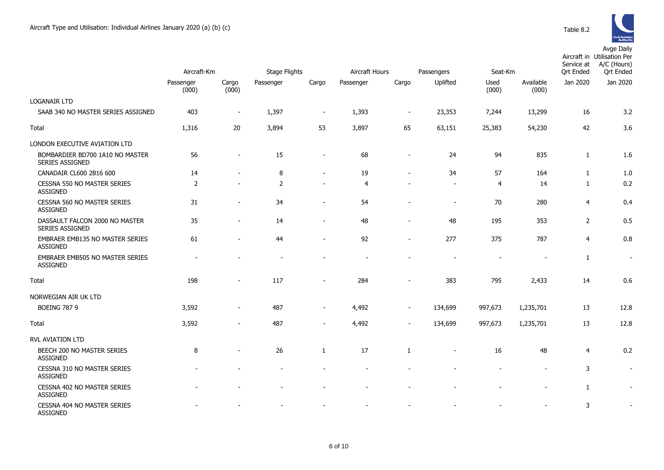|                                                           | Aircraft-Km        |                          | <b>Stage Flights</b> |                          | Aircraft Hours<br>Passengers |        |                          | Seat-Km       |                    | Aircraft in Utilisation Per<br>A/C (Hours)<br>Service at<br><b>Qrt Ended</b><br><b>Qrt Ended</b> |                          |  |
|-----------------------------------------------------------|--------------------|--------------------------|----------------------|--------------------------|------------------------------|--------|--------------------------|---------------|--------------------|--------------------------------------------------------------------------------------------------|--------------------------|--|
|                                                           | Passenger<br>(000) | Cargo<br>(000)           | Passenger            | Cargo                    | Passenger                    | Cargo  | Uplifted                 | Used<br>(000) | Available<br>(000) | Jan 2020                                                                                         | Jan 2020                 |  |
| <b>LOGANAIR LTD</b><br>SAAB 340 NO MASTER SERIES ASSIGNED | 403                | $\overline{\phantom{a}}$ | 1,397                | $\overline{\phantom{a}}$ | 1,393                        |        | 23,353                   | 7,244         | 13,299             | 16                                                                                               | 3.2                      |  |
| Total                                                     | 1,316              | 20                       | 3,894                | 53                       | 3,897                        | 65     | 63,151                   | 25,383        | 54,230             | 42                                                                                               | 3.6                      |  |
|                                                           |                    |                          |                      |                          |                              |        |                          |               |                    |                                                                                                  |                          |  |
| LONDON EXECUTIVE AVIATION LTD                             |                    |                          |                      |                          |                              |        |                          |               |                    |                                                                                                  |                          |  |
| BOMBARDIER BD700 1A10 NO MASTER<br><b>SERIES ASSIGNED</b> | 56                 | $\overline{\phantom{a}}$ | 15                   | $\overline{\phantom{a}}$ | 68                           |        | 24                       | 94            | 835                | $\mathbf{1}$                                                                                     | 1.6                      |  |
| CANADAIR CL600 2B16 600                                   | 14                 |                          | 8                    | $\overline{\phantom{a}}$ | 19                           | $\sim$ | 34                       | 57            | 164                | $\mathbf{1}$                                                                                     | 1.0                      |  |
| CESSNA 550 NO MASTER SERIES<br><b>ASSIGNED</b>            | $\overline{2}$     |                          | $\overline{2}$       |                          | 4                            |        | $\blacksquare$           | 4             | 14                 | 1                                                                                                | 0.2                      |  |
| CESSNA 560 NO MASTER SERIES<br><b>ASSIGNED</b>            | 31                 | $\overline{\phantom{a}}$ | 34                   |                          | 54                           |        | $\overline{\phantom{a}}$ | 70            | 280                | $\overline{4}$                                                                                   | 0.4                      |  |
| DASSAULT FALCON 2000 NO MASTER<br>SERIES ASSIGNED         | 35                 |                          | 14                   |                          | 48                           |        | 48                       | 195           | 353                | $\overline{2}$                                                                                   | 0.5                      |  |
| <b>EMBRAER EMB135 NO MASTER SERIES</b><br><b>ASSIGNED</b> | 61                 |                          | 44                   |                          | 92                           |        | 277                      | 375           | 787                | $\overline{4}$                                                                                   | 0.8                      |  |
| EMBRAER EMB505 NO MASTER SERIES<br><b>ASSIGNED</b>        |                    |                          |                      |                          |                              |        |                          |               |                    | $\mathbf{1}$                                                                                     | $\overline{\phantom{a}}$ |  |
| Total                                                     | 198                | $\overline{\phantom{a}}$ | 117                  |                          | 284                          |        | 383                      | 795           | 2,433              | 14                                                                                               | 0.6                      |  |
| NORWEGIAN AIR UK LTD                                      |                    |                          |                      |                          |                              |        |                          |               |                    |                                                                                                  |                          |  |
| <b>BOEING 787 9</b>                                       | 3,592              |                          | 487                  |                          | 4,492                        |        | 134,699                  | 997,673       | 1,235,701          | 13                                                                                               | 12.8                     |  |
| Total                                                     | 3,592              |                          | 487                  |                          | 4,492                        |        | 134,699                  | 997,673       | 1,235,701          | 13                                                                                               | 12.8                     |  |
| RVL AVIATION LTD                                          |                    |                          |                      |                          |                              |        |                          |               |                    |                                                                                                  |                          |  |
| BEECH 200 NO MASTER SERIES<br><b>ASSIGNED</b>             | 8                  |                          | 26                   | 1                        | 17                           | 1      |                          | 16            | 48                 | 4                                                                                                | 0.2                      |  |
| CESSNA 310 NO MASTER SERIES<br><b>ASSIGNED</b>            |                    |                          |                      |                          |                              |        |                          |               |                    | 3                                                                                                | $\blacksquare$           |  |
| CESSNA 402 NO MASTER SERIES<br><b>ASSIGNED</b>            |                    |                          |                      |                          |                              |        |                          |               |                    | 1                                                                                                | $\sim$                   |  |
| CESSNA 404 NO MASTER SERIES<br><b>ASSIGNED</b>            |                    |                          |                      |                          |                              |        |                          |               |                    | 3                                                                                                |                          |  |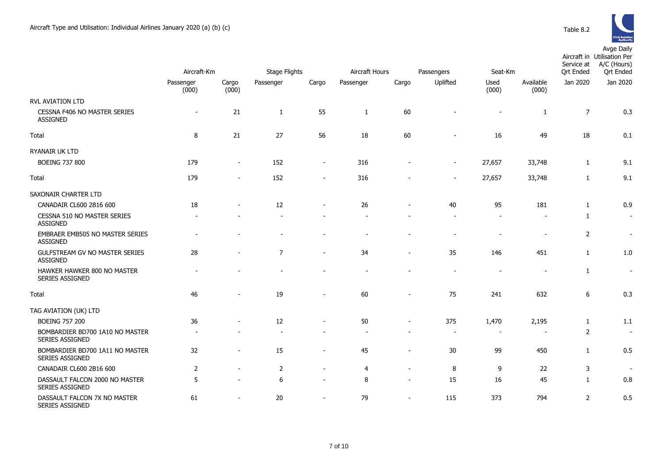

|                                                        | Aircraft-Km        |                          | <b>Stage Flights</b><br>Aircraft Hours |                          |                |                          | Passengers               | Seat-Km        |                          | Service at<br><b>Qrt Ended</b> | Aircraft in Utilisation Per<br>A/C (Hours)<br><b>Qrt Ended</b> |
|--------------------------------------------------------|--------------------|--------------------------|----------------------------------------|--------------------------|----------------|--------------------------|--------------------------|----------------|--------------------------|--------------------------------|----------------------------------------------------------------|
|                                                        | Passenger<br>(000) | Cargo<br>(000)           | Passenger                              | Cargo                    | Passenger      | Cargo                    | Uplifted                 | Used<br>(000)  | Available<br>(000)       | Jan 2020                       | Jan 2020                                                       |
| RVL AVIATION LTD                                       |                    |                          |                                        |                          |                |                          |                          |                |                          |                                |                                                                |
| <b>CESSNA F406 NO MASTER SERIES</b><br><b>ASSIGNED</b> | $\overline{a}$     | 21                       | $\mathbf{1}$                           | 55                       | $\mathbf{1}$   | 60                       |                          |                | $\mathbf{1}$             | $\overline{7}$                 | 0.3                                                            |
| Total                                                  | 8                  | 21                       | 27                                     | 56                       | 18             | 60                       |                          | 16             | 49                       | 18                             | 0.1                                                            |
| RYANAIR UK LTD                                         |                    |                          |                                        |                          |                |                          |                          |                |                          |                                |                                                                |
| <b>BOEING 737 800</b>                                  | 179                | $\blacksquare$           | 152                                    | $\blacksquare$           | 316            |                          | $\blacksquare$           | 27,657         | 33,748                   | 1                              | 9.1                                                            |
| Total                                                  | 179                |                          | 152                                    | $\sim$                   | 316            |                          | $\overline{a}$           | 27,657         | 33,748                   | 1                              | 9.1                                                            |
| SAXONAIR CHARTER LTD                                   |                    |                          |                                        |                          |                |                          |                          |                |                          |                                |                                                                |
| CANADAIR CL600 2B16 600                                | 18                 |                          | 12                                     |                          | 26             |                          | 40                       | 95             | 181                      | 1                              | 0.9                                                            |
| CESSNA 510 NO MASTER SERIES<br>ASSIGNED                |                    |                          |                                        |                          |                |                          |                          |                |                          | 1                              | $\blacksquare$                                                 |
| EMBRAER EMB505 NO MASTER SERIES<br>ASSIGNED            |                    |                          |                                        |                          |                |                          |                          |                |                          | $\overline{2}$                 | $\sim$                                                         |
| GULFSTREAM GV NO MASTER SERIES<br><b>ASSIGNED</b>      | 28                 |                          | $\overline{7}$                         | ٠                        | 34             |                          | 35                       | 146            | 451                      | $\mathbf{1}$                   | 1.0                                                            |
| HAWKER HAWKER 800 NO MASTER<br>SERIES ASSIGNED         |                    |                          |                                        |                          |                |                          |                          |                |                          | $\mathbf{1}$                   | $\overline{\phantom{a}}$                                       |
| Total                                                  | 46                 |                          | 19                                     | $\overline{\phantom{a}}$ | 60             | $\overline{\phantom{a}}$ | 75                       | 241            | 632                      | 6                              | 0.3                                                            |
| TAG AVIATION (UK) LTD                                  |                    |                          |                                        |                          |                |                          |                          |                |                          |                                |                                                                |
| <b>BOEING 757 200</b>                                  | 36                 |                          | 12                                     | $\blacksquare$           | 50             | $\sim$                   | 375                      | 1,470          | 2,195                    | $\mathbf{1}$                   | 1.1                                                            |
| BOMBARDIER BD700 1A10 NO MASTER<br>SERIES ASSIGNED     |                    |                          |                                        |                          |                |                          | $\overline{\phantom{a}}$ | $\blacksquare$ | $\overline{\phantom{a}}$ | 2                              | $\overline{\phantom{a}}$                                       |
| BOMBARDIER BD700 1A11 NO MASTER<br>SERIES ASSIGNED     | 32                 | $\overline{\phantom{a}}$ | 15                                     | $\overline{\phantom{a}}$ | 45             | $\overline{\phantom{a}}$ | 30                       | 99             | 450                      | 1                              | 0.5                                                            |
| CANADAIR CL600 2B16 600                                | $\overline{2}$     |                          | $\overline{2}$                         | $\blacksquare$           | $\overline{4}$ | $\sim$                   | 8                        | 9              | 22                       | 3                              | $\sim$                                                         |
| DASSAULT FALCON 2000 NO MASTER<br>SERIES ASSIGNED      | 5                  |                          | 6                                      | $\blacksquare$           | 8              | $\overline{\phantom{a}}$ | 15                       | 16             | 45                       | $\mathbf{1}$                   | 0.8                                                            |
| DASSAULT FALCON 7X NO MASTER<br>SERIES ASSIGNED        | 61                 |                          | 20                                     | $\overline{\phantom{a}}$ | 79             | $\overline{\phantom{a}}$ | 115                      | 373            | 794                      | $\overline{2}$                 | 0.5                                                            |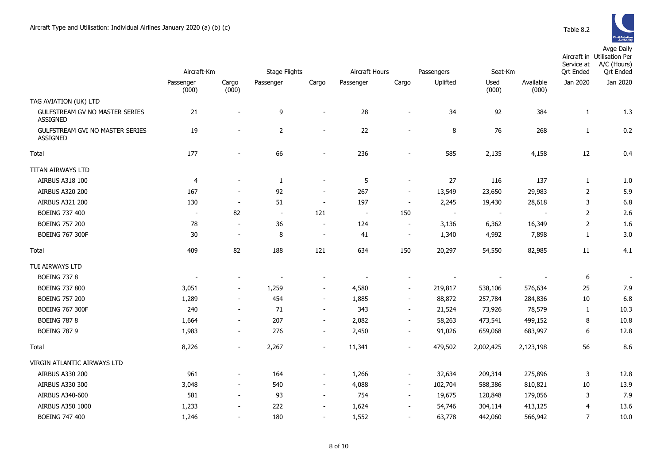|                                                           | Aircraft-Km              |                          | Stage Flights            |                          | Aircraft Hours |                          | Passengers<br>Seat-Km    |                          | Service at<br><b>Qrt Ended</b> | Aircraft in Utilisation Per<br>A/C (Hours)<br><b>Qrt Ended</b> |                          |
|-----------------------------------------------------------|--------------------------|--------------------------|--------------------------|--------------------------|----------------|--------------------------|--------------------------|--------------------------|--------------------------------|----------------------------------------------------------------|--------------------------|
|                                                           | Passenger<br>(000)       | Cargo<br>(000)           | Passenger                | Cargo                    | Passenger      | Cargo                    | Uplifted                 | Used<br>(000)            | Available<br>(000)             | Jan 2020                                                       | Jan 2020                 |
| TAG AVIATION (UK) LTD                                     |                          |                          |                          |                          |                |                          |                          |                          |                                |                                                                |                          |
| GULFSTREAM GV NO MASTER SERIES<br><b>ASSIGNED</b>         | 21                       | $\overline{\phantom{a}}$ | 9                        | $\blacksquare$           | 28             | $\blacksquare$           | 34                       | 92                       | 384                            | $\mathbf{1}$                                                   | 1.3                      |
| <b>GULFSTREAM GVI NO MASTER SERIES</b><br><b>ASSIGNED</b> | 19                       | ٠                        | $\overline{2}$           | $\blacksquare$           | 22             | $\blacksquare$           | 8                        | 76                       | 268                            | $\mathbf{1}$                                                   | 0.2                      |
| Total                                                     | 177                      |                          | 66                       | $\overline{a}$           | 236            |                          | 585                      | 2,135                    | 4,158                          | 12                                                             | 0.4                      |
| TITAN AIRWAYS LTD                                         |                          |                          |                          |                          |                |                          |                          |                          |                                |                                                                |                          |
| AIRBUS A318 100                                           | 4                        |                          | $\mathbf{1}$             | $\blacksquare$           | 5              | $\blacksquare$           | 27                       | 116                      | 137                            | $\mathbf{1}$                                                   | 1.0                      |
| AIRBUS A320 200                                           | 167                      | $\overline{\phantom{a}}$ | 92                       | $\blacksquare$           | 267            | $\blacksquare$           | 13,549                   | 23,650                   | 29,983                         | $\overline{2}$                                                 | 5.9                      |
| AIRBUS A321 200                                           | 130                      | $\overline{\phantom{a}}$ | 51                       | $\overline{\phantom{a}}$ | 197            | $\overline{\phantom{a}}$ | 2,245                    | 19,430                   | 28,618                         | 3                                                              | 6.8                      |
| <b>BOEING 737 400</b>                                     | $\overline{\phantom{a}}$ | 82                       | $\sim$                   | 121                      | $\blacksquare$ | 150                      | $\overline{\phantom{a}}$ | $\overline{\phantom{a}}$ | $\overline{\phantom{a}}$       | $\overline{2}$                                                 | 2.6                      |
| <b>BOEING 757 200</b>                                     | 78                       | $\overline{\phantom{a}}$ | 36                       | $\sim$                   | 124            | $\overline{\phantom{a}}$ | 3,136                    | 6,362                    | 16,349                         | $\overline{2}$                                                 | 1.6                      |
| <b>BOEING 767 300F</b>                                    | 30                       | $\blacksquare$           | 8                        | $\overline{\phantom{a}}$ | 41             | $\overline{\phantom{a}}$ | 1,340                    | 4,992                    | 7,898                          | $\mathbf{1}$                                                   | 3.0                      |
| Total                                                     | 409                      | 82                       | 188                      | 121                      | 634            | 150                      | 20,297                   | 54,550                   | 82,985                         | 11                                                             | 4.1                      |
| TUI AIRWAYS LTD                                           |                          |                          |                          |                          |                |                          |                          |                          |                                |                                                                |                          |
| <b>BOEING 737 8</b>                                       |                          |                          | $\overline{\phantom{a}}$ | $\blacksquare$           |                | $\blacksquare$           |                          |                          |                                | 6                                                              | $\overline{\phantom{a}}$ |
| <b>BOEING 737 800</b>                                     | 3,051                    | $\sim$                   | 1,259                    | $\blacksquare$           | 4,580          | $\blacksquare$           | 219,817                  | 538,106                  | 576,634                        | 25                                                             | 7.9                      |
| <b>BOEING 757 200</b>                                     | 1,289                    | $\blacksquare$           | 454                      | $\sim$                   | 1,885          | $\overline{\phantom{a}}$ | 88,872                   | 257,784                  | 284,836                        | $10\,$                                                         | 6.8                      |
| <b>BOEING 767 300F</b>                                    | 240                      | $\sim$                   | 71                       | $\overline{\phantom{a}}$ | 343            | $\overline{\phantom{a}}$ | 21,524                   | 73,926                   | 78,579                         | $\mathbf{1}$                                                   | 10.3                     |
| <b>BOEING 787 8</b>                                       | 1,664                    | $\blacksquare$           | 207                      | $\blacksquare$           | 2,082          | $\blacksquare$           | 58,263                   | 473,541                  | 499,152                        | 8                                                              | 10.8                     |
| <b>BOEING 787 9</b>                                       | 1,983                    | $\blacksquare$           | 276                      | $\overline{\phantom{a}}$ | 2,450          | $\overline{\phantom{a}}$ | 91,026                   | 659,068                  | 683,997                        | 6                                                              | 12.8                     |
| Total                                                     | 8,226                    | $\blacksquare$           | 2,267                    | $\overline{\phantom{a}}$ | 11,341         |                          | 479,502                  | 2,002,425                | 2,123,198                      | 56                                                             | 8.6                      |
| VIRGIN ATLANTIC AIRWAYS LTD                               |                          |                          |                          |                          |                |                          |                          |                          |                                |                                                                |                          |
| <b>AIRBUS A330 200</b>                                    | 961                      |                          | 164                      | $\blacksquare$           | 1,266          | $\overline{\phantom{a}}$ | 32,634                   | 209,314                  | 275,896                        | 3                                                              | 12.8                     |
| AIRBUS A330 300                                           | 3,048                    | $\blacksquare$           | 540                      | $\blacksquare$           | 4,088          | $\blacksquare$           | 102,704                  | 588,386                  | 810,821                        | 10                                                             | 13.9                     |
| AIRBUS A340-600                                           | 581                      | $\blacksquare$           | 93                       | $\blacksquare$           | 754            | $\overline{\phantom{a}}$ | 19,675                   | 120,848                  | 179,056                        | 3                                                              | 7.9                      |
| AIRBUS A350 1000                                          | 1,233                    | $\overline{\phantom{a}}$ | 222                      | $\overline{\phantom{a}}$ | 1,624          | $\overline{\phantom{a}}$ | 54,746                   | 304,114                  | 413,125                        | $\overline{4}$                                                 | 13.6                     |
| <b>BOEING 747 400</b>                                     | 1,246                    |                          | 180                      | $\sim$                   | 1,552          | $\blacksquare$           | 63,778                   | 442,060                  | 566,942                        | $\overline{7}$                                                 | 10.0                     |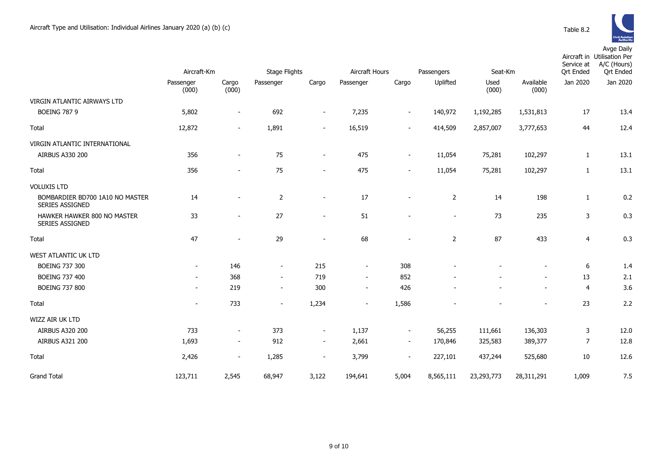|                                                    | Aircraft-Km              |                          | <b>Stage Flights</b> |                          |                | Aircraft Hours<br>Passengers<br>Seat-Km |                |               |                          | Aircraft in Utilisation Per<br>A/C (Hours)<br>Service at<br><b>Qrt Ended</b><br><b>Qrt Ended</b> |          |  |
|----------------------------------------------------|--------------------------|--------------------------|----------------------|--------------------------|----------------|-----------------------------------------|----------------|---------------|--------------------------|--------------------------------------------------------------------------------------------------|----------|--|
|                                                    | Passenger<br>(000)       | Cargo<br>(000)           | Passenger            | Cargo                    | Passenger      | Cargo                                   | Uplifted       | Used<br>(000) | Available<br>(000)       | Jan 2020                                                                                         | Jan 2020 |  |
| VIRGIN ATLANTIC AIRWAYS LTD                        |                          |                          |                      |                          |                |                                         |                |               |                          |                                                                                                  |          |  |
| <b>BOEING 787 9</b>                                | 5,802                    | $\overline{\phantom{a}}$ | 692                  | $\overline{\phantom{a}}$ | 7,235          | $\overline{\phantom{a}}$                | 140,972        | 1,192,285     | 1,531,813                | 17                                                                                               | 13.4     |  |
| Total                                              | 12,872                   | $\sim$                   | 1,891                | $\blacksquare$           | 16,519         | $\sim$                                  | 414,509        | 2,857,007     | 3,777,653                | 44                                                                                               | 12.4     |  |
| VIRGIN ATLANTIC INTERNATIONAL                      |                          |                          |                      |                          |                |                                         |                |               |                          |                                                                                                  |          |  |
| AIRBUS A330 200                                    | 356                      | $\sim$                   | 75                   | $\blacksquare$           | 475            | $\sim$                                  | 11,054         | 75,281        | 102,297                  | $\mathbf{1}$                                                                                     | 13.1     |  |
| Total                                              | 356                      | $\blacksquare$           | 75                   | $\overline{\phantom{a}}$ | 475            | $\overline{\phantom{a}}$                | 11,054         | 75,281        | 102,297                  | $\mathbf{1}$                                                                                     | 13.1     |  |
| <b>VOLUXIS LTD</b>                                 |                          |                          |                      |                          |                |                                         |                |               |                          |                                                                                                  |          |  |
| BOMBARDIER BD700 1A10 NO MASTER<br>SERIES ASSIGNED | 14                       | ۰                        | 2                    | $\overline{\phantom{a}}$ | 17             | $\overline{a}$                          | $\overline{2}$ | 14            | 198                      | $\mathbf{1}$                                                                                     | 0.2      |  |
| HAWKER HAWKER 800 NO MASTER<br>SERIES ASSIGNED     | 33                       | $\sim$                   | 27                   | $\sim$                   | 51             | $\sim$                                  | $\sim$         | 73            | 235                      | 3                                                                                                | 0.3      |  |
| Total                                              | 47                       |                          | 29                   | $\overline{a}$           | 68             |                                         | $\overline{2}$ | 87            | 433                      | $\overline{4}$                                                                                   | 0.3      |  |
| <b>WEST ATLANTIC UK LTD</b>                        |                          |                          |                      |                          |                |                                         |                |               |                          |                                                                                                  |          |  |
| <b>BOEING 737 300</b>                              | $\overline{\phantom{a}}$ | 146                      | $\blacksquare$       | 215                      | $\blacksquare$ | 308                                     |                |               |                          | 6                                                                                                | 1.4      |  |
| <b>BOEING 737 400</b>                              | $\overline{\phantom{a}}$ | 368                      | $\sim$               | 719                      | $\blacksquare$ | 852                                     |                |               |                          | 13                                                                                               | 2.1      |  |
| <b>BOEING 737 800</b>                              | $\blacksquare$           | 219                      | $\blacksquare$       | 300                      | $\blacksquare$ | 426                                     |                |               |                          | $\overline{4}$                                                                                   | 3.6      |  |
| Total                                              | $\blacksquare$           | 733                      | $\blacksquare$       | 1,234                    | $\blacksquare$ | 1,586                                   |                |               | $\overline{\phantom{a}}$ | 23                                                                                               | 2.2      |  |
| WIZZ AIR UK LTD                                    |                          |                          |                      |                          |                |                                         |                |               |                          |                                                                                                  |          |  |
| <b>AIRBUS A320 200</b>                             | 733                      | $\sim$                   | 373                  | $\sim$                   | 1,137          | $\overline{\phantom{a}}$                | 56,255         | 111,661       | 136,303                  | 3                                                                                                | 12.0     |  |
| <b>AIRBUS A321 200</b>                             | 1,693                    | $\overline{\phantom{a}}$ | 912                  | $\blacksquare$           | 2,661          | $\overline{\phantom{a}}$                | 170,846        | 325,583       | 389,377                  | $\overline{7}$                                                                                   | 12.8     |  |
| Total                                              | 2,426                    | $\blacksquare$           | 1,285                | $\blacksquare$           | 3,799          | $\blacksquare$                          | 227,101        | 437,244       | 525,680                  | 10                                                                                               | 12.6     |  |
| <b>Grand Total</b>                                 | 123,711                  | 2,545                    | 68,947               | 3,122                    | 194,641        | 5,004                                   | 8,565,111      | 23,293,773    | 28,311,291               | 1,009                                                                                            | 7.5      |  |